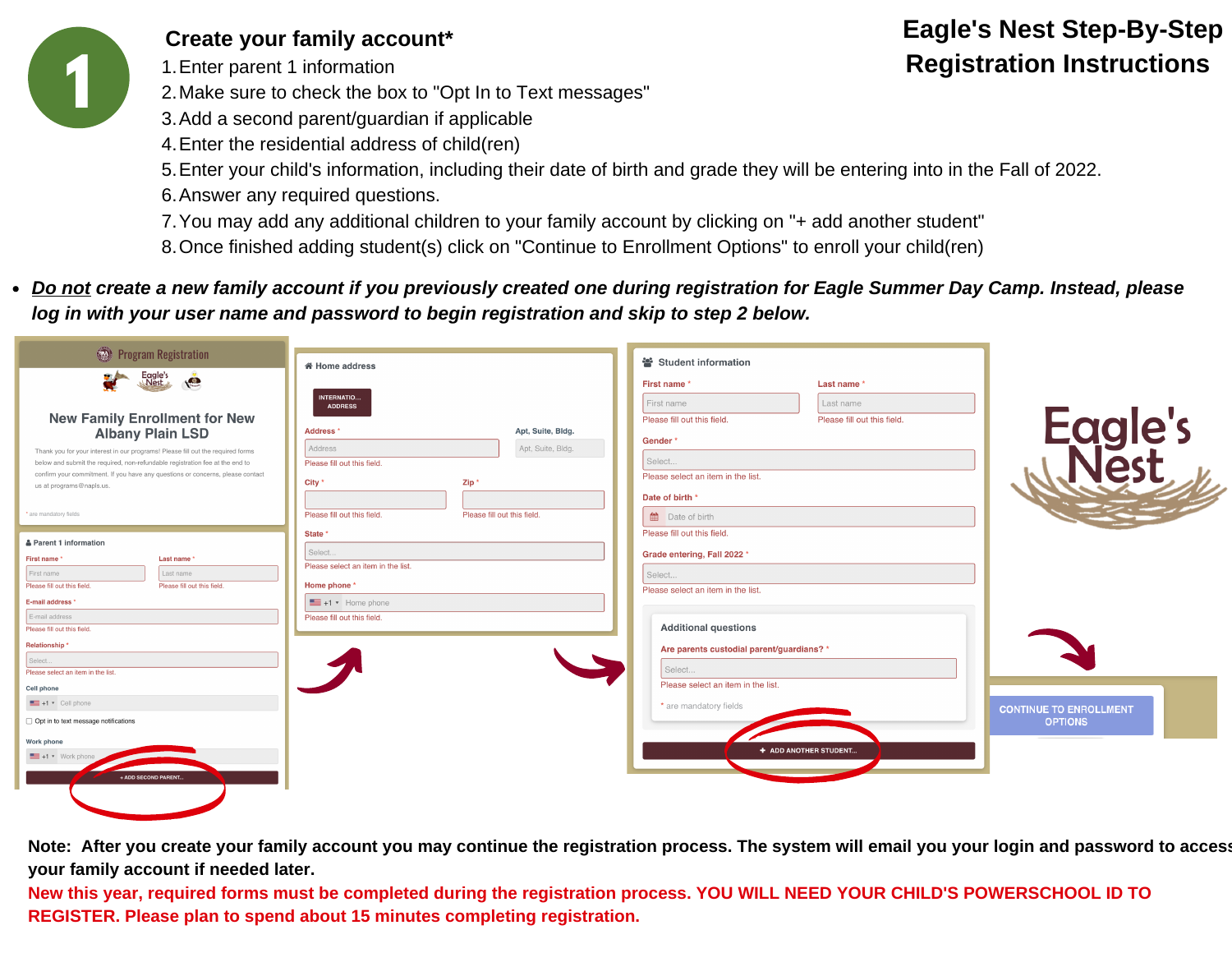

**Create your family account\***

1. Enter parent 1 information

Make sure to check the box to "Opt In to Text messages" 2.

- 3. Add a second parent/guardian if applicable
- Enter the residential address of child(ren) 4.
- Enter your child's information, including their date of birth and grade they will be entering into in the Fall of 2022. 5.
- 6. Answer any required questions.
- You may add any additional children to your family account by clicking on "+ add another student" 7.
- 8.Once finished adding student(s) click on "Continue to Enrollment Options" to enroll your child(ren)
- *Do not create a new family account if you previously created one during registration for Eagle Summer Day Camp. Instead, please log in with your user name and password to begin registration and skip to step 2 below.*

| Program Registration                                                                                                                                                                                                                              |                                                               | Student information                                                                   |                               |
|---------------------------------------------------------------------------------------------------------------------------------------------------------------------------------------------------------------------------------------------------|---------------------------------------------------------------|---------------------------------------------------------------------------------------|-------------------------------|
| Eagle's                                                                                                                                                                                                                                           | 备 Home address                                                | Last name *<br>First name*                                                            |                               |
| <b>New Family Enrollment for New</b>                                                                                                                                                                                                              | INTERNATIO<br><b>ADDRESS</b>                                  | First name<br>Last name<br>Please fill out this field.<br>Please fill out this field. |                               |
| <b>Albany Plain LSD</b>                                                                                                                                                                                                                           | Apt, Suite, Bldg.<br>Address'<br>Apt, Suite, Bldg.<br>Address | Gender*                                                                               | Eagle's                       |
| Thank you for your interest in our programs! Please fill out the required forms<br>below and submit the required, non-refundable registration fee at the end to<br>confirm your commitment. If you have any questions or concerns, please contact | Please fill out this field.                                   | Select                                                                                |                               |
| us at programs@napls.us.                                                                                                                                                                                                                          | Zip <sup>*</sup><br>City *                                    | Please select an item in the list.<br>Date of birth *                                 |                               |
| * are mandatory fields                                                                                                                                                                                                                            | Please fill out this field.<br>Please fill out this field.    | <b>Date of birth</b>                                                                  |                               |
| & Parent 1 information                                                                                                                                                                                                                            | State *<br>Select                                             | Please fill out this field.                                                           |                               |
| First name*<br>Last name<br>First name<br>Last name                                                                                                                                                                                               | Please select an item in the list.                            | Grade entering, Fall 2022 *<br>Select                                                 |                               |
| Please fill out this field.<br>Please fill out this field.<br>E-mail address *                                                                                                                                                                    | Home phone *<br>$\equiv$ +1 $\star$ Home phone                | Please select an item in the list.                                                    |                               |
| E-mail address<br>Please fill out this field.                                                                                                                                                                                                     | Please fill out this field.                                   | <b>Additional questions</b>                                                           |                               |
| Relationship*                                                                                                                                                                                                                                     |                                                               | Are parents custodial parent/guardians? *                                             |                               |
| Select<br>Please select an item in the list.                                                                                                                                                                                                      |                                                               | Select                                                                                |                               |
| Cell phone<br>+1 v Cell phone                                                                                                                                                                                                                     |                                                               | Please select an item in the list.<br>* are mandatory fields                          | <b>CONTINUE TO ENROLLMENT</b> |
| Opt in to text message notifications                                                                                                                                                                                                              |                                                               |                                                                                       | <b>OPTIONS</b>                |
| Work phone<br>$\blacksquare$ +1 $\star$ Work phone                                                                                                                                                                                                |                                                               | + ADD ANOTHER STUDENT                                                                 |                               |
| + ADD SECOND PARENT.                                                                                                                                                                                                                              |                                                               |                                                                                       |                               |
|                                                                                                                                                                                                                                                   |                                                               |                                                                                       |                               |

**Note: After you create your family account you may continue the registration process. The system will email you your login and password to access your family account if needed later.**

**New this year, required forms must be completed during the registration process. YOU WILL NEED YOUR CHILD'S POWERSCHOOL ID TO REGISTER. Please plan to spend about 15 minutes completing registration.**

## **Eagle's Nest Step-By-Step Registration Instructions**